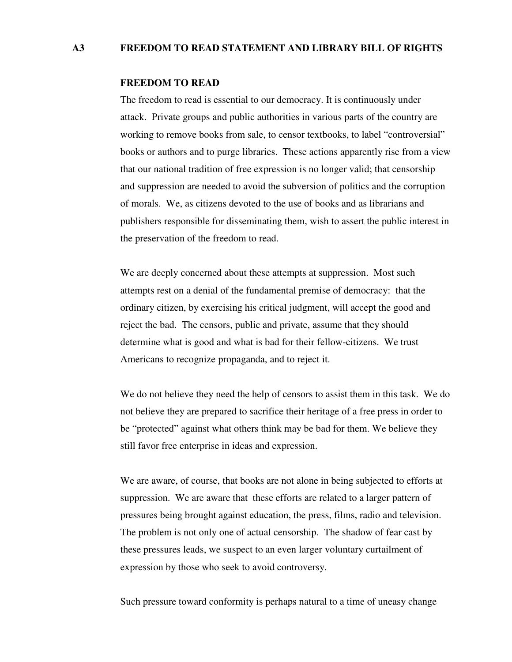## **A3 FREEDOM TO READ STATEMENT AND LIBRARY BILL OF RIGHTS**

## **FREEDOM TO READ**

 The freedom to read is essential to our democracy. It is continuously under attack. Private groups and public authorities in various parts of the country are working to remove books from sale, to censor textbooks, to label "controversial" books or authors and to purge libraries. These actions apparently rise from a view that our national tradition of free expression is no longer valid; that censorship and suppression are needed to avoid the subversion of politics and the corruption of morals. We, as citizens devoted to the use of books and as librarians and publishers responsible for disseminating them, wish to assert the public interest in the preservation of the freedom to read.

 We are deeply concerned about these attempts at suppression. Most such attempts rest on a denial of the fundamental premise of democracy: that the ordinary citizen, by exercising his critical judgment, will accept the good and reject the bad. The censors, public and private, assume that they should determine what is good and what is bad for their fellow-citizens. We trust Americans to recognize propaganda, and to reject it.

We do not believe they need the help of censors to assist them in this task. We do not believe they are prepared to sacrifice their heritage of a free press in order to be "protected" against what others think may be bad for them. We believe they still favor free enterprise in ideas and expression.

 We are aware, of course, that books are not alone in being subjected to efforts at suppression. We are aware that these efforts are related to a larger pattern of pressures being brought against education, the press, films, radio and television. The problem is not only one of actual censorship. The shadow of fear cast by these pressures leads, we suspect to an even larger voluntary curtailment of expression by those who seek to avoid controversy.

Such pressure toward conformity is perhaps natural to a time of uneasy change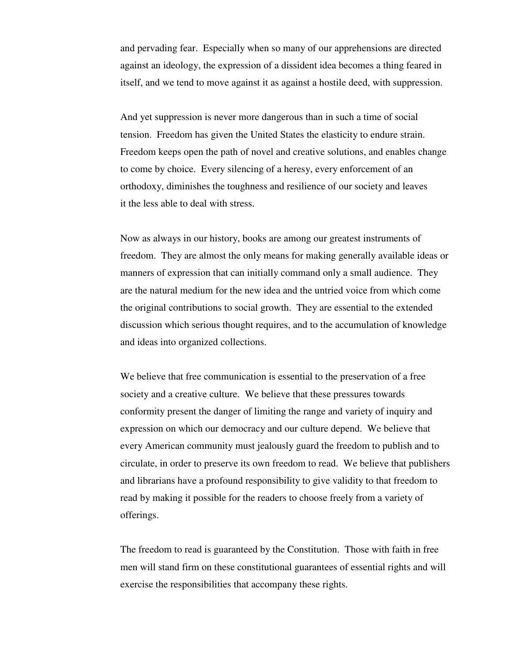and pervading fear. Especially when so many of our apprehensions are directed against an ideology, the expression of a dissident idea becomes a thing feared in itself, and we tend to move against it as against a hostile deed, with suppression.

 And yet suppression is never more dangerous than in such a time of social tension. Freedom has given the United States the elasticity to endure strain. Freedom keeps open the path of novel and creative solutions, and enables change to come by choice. Every silencing of a heresy, every enforcement of an orthodoxy, diminishes the toughness and resilience of our society and leaves it the less able to deal with stress.

 Now as always in our history, books are among our greatest instruments of freedom. They are almost the only means for making generally available ideas or manners of expression that can initially command only a small audience. They are the natural medium for the new idea and the untried voice from which come the original contributions to social growth. They are essential to the extended discussion which serious thought requires, and to the accumulation of knowledge and ideas into organized collections.

 We believe that free communication is essential to the preservation of a free society and a creative culture. We believe that these pressures towards conformity present the danger of limiting the range and variety of inquiry and expression on which our democracy and our culture depend. We believe that every American community must jealously guard the freedom to publish and to circulate, in order to preserve its own freedom to read. We believe that publishers and librarians have a profound responsibility to give validity to that freedom to read by making it possible for the readers to choose freely from a variety of offerings.

 The freedom to read is guaranteed by the Constitution. Those with faith in free men will stand firm on these constitutional guarantees of essential rights and will exercise the responsibilities that accompany these rights.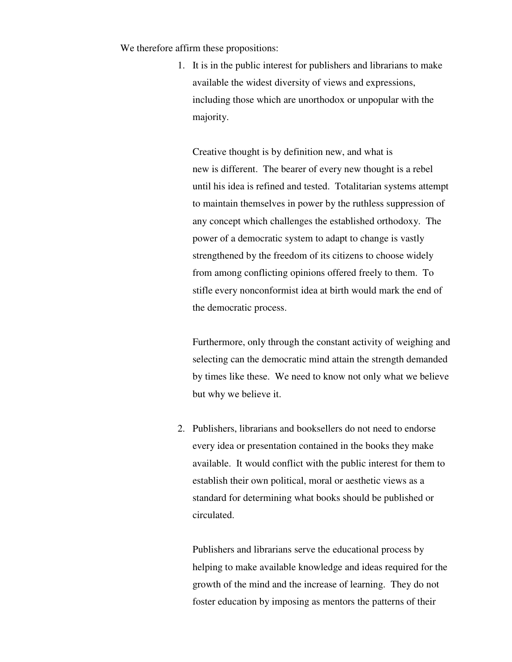We therefore affirm these propositions:

1. It is in the public interest for publishers and librarians to make available the widest diversity of views and expressions, including those which are unorthodox or unpopular with the majority.

 Creative thought is by definition new, and what is new is different. The bearer of every new thought is a rebel until his idea is refined and tested. Totalitarian systems attempt to maintain themselves in power by the ruthless suppression of any concept which challenges the established orthodoxy. The power of a democratic system to adapt to change is vastly strengthened by the freedom of its citizens to choose widely from among conflicting opinions offered freely to them. To stifle every nonconformist idea at birth would mark the end of the democratic process.

 Furthermore, only through the constant activity of weighing and selecting can the democratic mind attain the strength demanded by times like these. We need to know not only what we believe but why we believe it.

2. Publishers, librarians and booksellers do not need to endorse every idea or presentation contained in the books they make available. It would conflict with the public interest for them to establish their own political, moral or aesthetic views as a standard for determining what books should be published or circulated.

Publishers and librarians serve the educational process by helping to make available knowledge and ideas required for the growth of the mind and the increase of learning. They do not foster education by imposing as mentors the patterns of their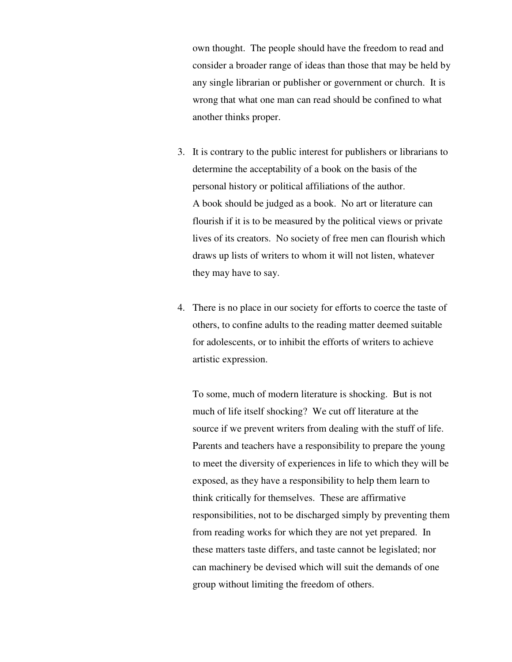own thought. The people should have the freedom to read and consider a broader range of ideas than those that may be held by any single librarian or publisher or government or church. It is wrong that what one man can read should be confined to what another thinks proper.

- 3. It is contrary to the public interest for publishers or librarians to determine the acceptability of a book on the basis of the personal history or political affiliations of the author. A book should be judged as a book. No art or literature can flourish if it is to be measured by the political views or private lives of its creators. No society of free men can flourish which draws up lists of writers to whom it will not listen, whatever they may have to say.
- 4. There is no place in our society for efforts to coerce the taste of others, to confine adults to the reading matter deemed suitable for adolescents, or to inhibit the efforts of writers to achieve artistic expression.

 To some, much of modern literature is shocking. But is not much of life itself shocking? We cut off literature at the source if we prevent writers from dealing with the stuff of life. Parents and teachers have a responsibility to prepare the young to meet the diversity of experiences in life to which they will be exposed, as they have a responsibility to help them learn to think critically for themselves. These are affirmative responsibilities, not to be discharged simply by preventing them from reading works for which they are not yet prepared. In these matters taste differs, and taste cannot be legislated; nor can machinery be devised which will suit the demands of one group without limiting the freedom of others.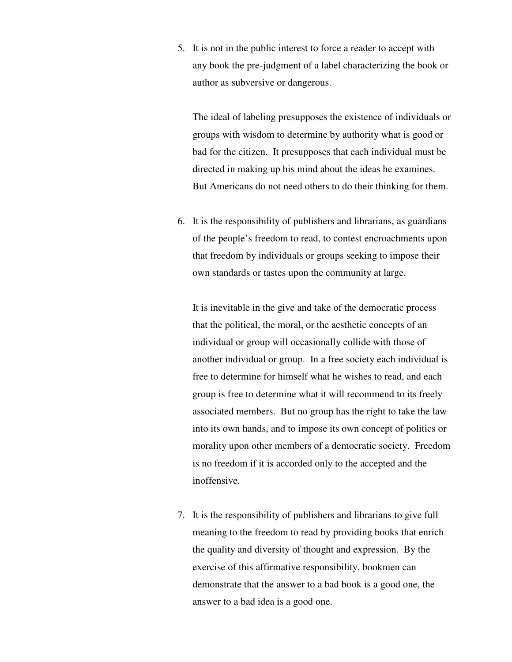5. It is not in the public interest to force a reader to accept with any book the pre-judgment of a label characterizing the book or author as subversive or dangerous.

The ideal of labeling presupposes the existence of individuals or groups with wisdom to determine by authority what is good or bad for the citizen. It presupposes that each individual must be directed in making up his mind about the ideas he examines. But Americans do not need others to do their thinking for them.

6. It is the responsibility of publishers and librarians, as guardians of the people's freedom to read, to contest encroachments upon that freedom by individuals or groups seeking to impose their own standards or tastes upon the community at large.

It is inevitable in the give and take of the democratic process that the political, the moral, or the aesthetic concepts of an individual or group will occasionally collide with those of another individual or group. In a free society each individual is free to determine for himself what he wishes to read, and each group is free to determine what it will recommend to its freely associated members. But no group has the right to take the law into its own hands, and to impose its own concept of politics or morality upon other members of a democratic society. Freedom is no freedom if it is accorded only to the accepted and the inoffensive.

7. It is the responsibility of publishers and librarians to give full meaning to the freedom to read by providing books that enrich the quality and diversity of thought and expression. By the exercise of this affirmative responsibility, bookmen can demonstrate that the answer to a bad book is a good one, the answer to a bad idea is a good one.